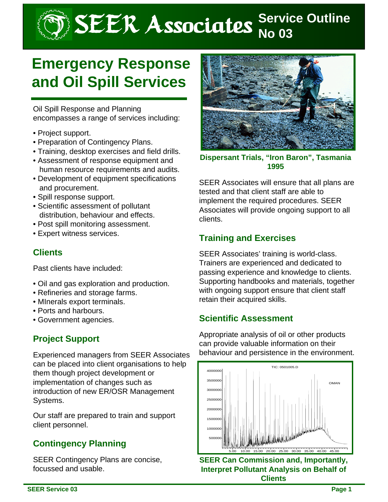# SEER Associates **Service Outline**

# **Emergency Response and Oil Spill Services**

Oil Spill Response and Planning encompasses a range of services including:

- Project support.
- Preparation of Contingency Plans.
- Training, desktop exercises and field drills.
- Assessment of response equipment and human resource requirements and audits.
- Development of equipment specifications and procurement.
- Spill response support.
- Scientific assessment of pollutant distribution, behaviour and effects.
- Post spill monitoring assessment.
- Expert witness services.

#### **Clients**

Past clients have included:

- Oil and gas exploration and production.
- Refineries and storage farms.
- MInerals export terminals.
- Ports and harbours.
- Government agencies.

#### **Project Support**

Experienced managers from SEER Associates can be placed into client organisations to help them though project development or implementation of changes such as introduction of new ER/OSR Management Systems.

Our staff are prepared to train and support client personnel.

# **Contingency Planning**

SEER Contingency Plans are concise, focussed and usable.



**Dispersant Trials, "Iron Baron", Tasmania 1995**

SEER Associates will ensure that all plans are tested and that client staff are able to implement the required procedures. SEER Associates will provide ongoing support to all clients.

# **Training and Exercises**

SEER Associates' training is world-class. Trainers are experienced and dedicated to passing experience and knowledge to clients. Supporting handbooks and materials, together with ongoing support ensure that client staff retain their acquired skills.

#### **Scientific Assessment**

Appropriate analysis of oil or other products can provide valuable information on their behaviour and persistence in the environment.



**SEER Can Commission and, Importantly, Interpret Pollutant Analysis on Behalf of Clients**